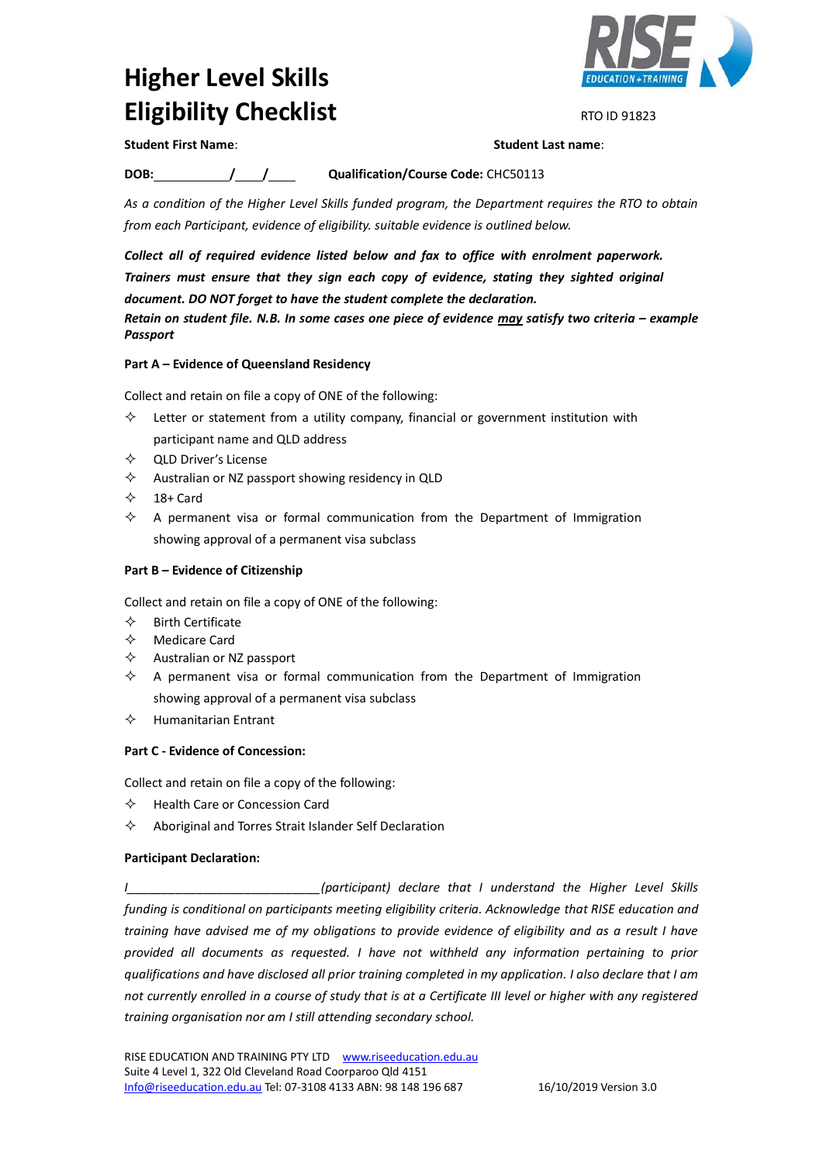## **Higher Level Skills Eligibility Checklist RTO ID 91823**



**Student First Name**: **Student Last name**:

**DOB: / / Qualification/Course Code:** CHC50113

*As a condition of the Higher Level Skills funded program, the Department requires the RTO to obtain from each Participant, evidence of eligibility. suitable evidence is outlined below.*

*Collect all of required evidence listed below and fax to office with enrolment paperwork. Trainers must ensure that they sign each copy of evidence, stating they sighted original document. DO NOT forget to have the student complete the declaration.*

*Retain on student file. N.B. In some cases one piece of evidence may satisfy two criteria – example Passport*

#### **Part A – Evidence of Queensland Residency**

Collect and retain on file a copy of ONE of the following:

- $\diamond$  Letter or statement from a utility company, financial or government institution with participant name and QLD address
- QLD Driver's License
- $\diamond$  Australian or NZ passport showing residency in QLD
- $\diamondsuit$  18+ Card
- $\Diamond$  A permanent visa or formal communication from the Department of Immigration showing approval of a permanent visa subclass

### **Part B – Evidence of Citizenship**

Collect and retain on file a copy of ONE of the following:

- $\Leftrightarrow$  Birth Certificate
- $\Leftrightarrow$  Medicare Card
- $\Leftrightarrow$  Australian or NZ passport
- $\Diamond$  A permanent visa or formal communication from the Department of Immigration showing approval of a permanent visa subclass
- $\Leftrightarrow$  Humanitarian Entrant

### **Part C - Evidence of Concession:**

Collect and retain on file a copy of the following:

- $\Leftrightarrow$  Health Care or Concession Card
- $\Diamond$  Aboriginal and Torres Strait Islander Self Declaration

### **Participant Declaration:**

*I\_\_\_\_\_\_\_\_\_\_\_\_\_\_\_\_\_\_\_\_\_\_\_\_\_\_\_\_(participant) declare that I understand the Higher Level Skills funding is conditional on participants meeting eligibility criteria. Acknowledge that RISE education and training have advised me of my obligations to provide evidence of eligibility and as a result I have provided all documents as requested. I have not withheld any information pertaining to prior qualifications and have disclosed all prior training completed in my application. I also declare that I am not currently enrolled in a course of study that is at a Certificate III level or higher with any registered training organisation nor am I still attending secondary school.*